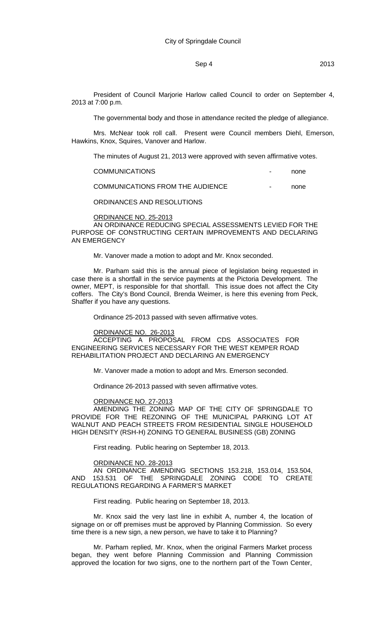# Sep 4 2013

President of Council Marjorie Harlow called Council to order on September 4, 2013 at 7:00 p.m.

The governmental body and those in attendance recited the pledge of allegiance.

Mrs. McNear took roll call. Present were Council members Diehl, Emerson, Hawkins, Knox, Squires, Vanover and Harlow.

The minutes of August 21, 2013 were approved with seven affirmative votes.

| <b>COMMUNICATIONS</b>            | $\overline{\phantom{0}}$ | none |
|----------------------------------|--------------------------|------|
| COMMUNICATIONS FROM THE AUDIENCE | $\blacksquare$           | none |

ORDINANCES AND RESOLUTIONS

### ORDINANCE NO. 25-2013

AN ORDINANCE REDUCING SPECIAL ASSESSMENTS LEVIED FOR THE PURPOSE OF CONSTRUCTING CERTAIN IMPROVEMENTS AND DECLARING AN EMERGENCY

Mr. Vanover made a motion to adopt and Mr. Knox seconded.

Mr. Parham said this is the annual piece of legislation being requested in case there is a shortfall in the service payments at the Pictoria Development. The owner, MEPT, is responsible for that shortfall. This issue does not affect the City coffers. The City's Bond Council, Brenda Weimer, is here this evening from Peck, Shaffer if you have any questions.

Ordinance 25-2013 passed with seven affirmative votes.

### ORDINANCE NO. 26-2013

ACCEPTING A PROPOSAL FROM CDS ASSOCIATES FOR ENGINEERING SERVICES NECESSARY FOR THE WEST KEMPER ROAD REHABILITATION PROJECT AND DECLARING AN EMERGENCY

Mr. Vanover made a motion to adopt and Mrs. Emerson seconded.

Ordinance 26-2013 passed with seven affirmative votes.

## ORDINANCE NO. 27-2013

AMENDING THE ZONING MAP OF THE CITY OF SPRINGDALE TO PROVIDE FOR THE REZONING OF THE MUNICIPAL PARKING LOT AT WALNUT AND PEACH STREETS FROM RESIDENTIAL SINGLE HOUSEHOLD HIGH DENSITY (RSH-H) ZONING TO GENERAL BUSINESS (GB) ZONING

First reading. Public hearing on September 18, 2013.

## ORDINANCE NO. 28-2013

AN ORDINANCE AMENDING SECTIONS 153.218, 153.014, 153.504, AND 153.531 OF THE SPRINGDALE ZONING CODE TO CREATE REGULATIONS REGARDING A FARMER'S MARKET

First reading. Public hearing on September 18, 2013.

Mr. Knox said the very last line in exhibit A, number 4, the location of signage on or off premises must be approved by Planning Commission. So every time there is a new sign, a new person, we have to take it to Planning?

Mr. Parham replied, Mr. Knox, when the original Farmers Market process began, they went before Planning Commission and Planning Commission approved the location for two signs, one to the northern part of the Town Center,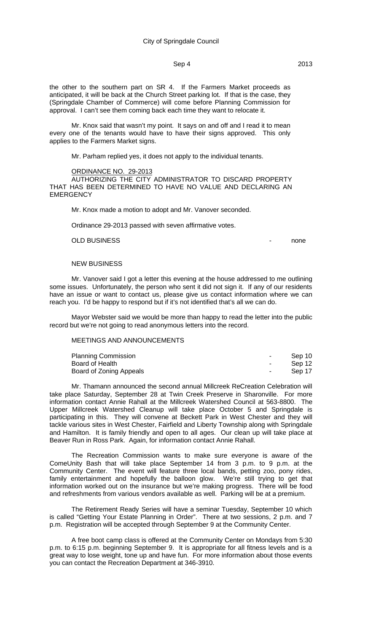the other to the southern part on SR 4. If the Farmers Market proceeds as anticipated, it will be back at the Church Street parking lot. If that is the case, they (Springdale Chamber of Commerce) will come before Planning Commission for approval. I can't see them coming back each time they want to relocate it.

Mr. Knox said that wasn't my point. It says on and off and I read it to mean every one of the tenants would have to have their signs approved. This only applies to the Farmers Market signs.

Mr. Parham replied yes, it does not apply to the individual tenants.

### ORDINANCE NO. 29-2013

AUTHORIZING THE CITY ADMINISTRATOR TO DISCARD PROPERTY THAT HAS BEEN DETERMINED TO HAVE NO VALUE AND DECLARING AN **EMERGENCY** 

Mr. Knox made a motion to adopt and Mr. Vanover seconded.

Ordinance 29-2013 passed with seven affirmative votes.

OLD BUSINESS **and the set of the set of the set of the set of the set of the set of the set of the set of the set of the set of the set of the set of the set of the set of the set of the set of the set of the set of the se** 

## NEW BUSINESS

Mr. Vanover said I got a letter this evening at the house addressed to me outlining some issues. Unfortunately, the person who sent it did not sign it. If any of our residents have an issue or want to contact us, please give us contact information where we can reach you. I'd be happy to respond but if it's not identified that's all we can do.

Mayor Webster said we would be more than happy to read the letter into the public record but we're not going to read anonymous letters into the record.

## MEETINGS AND ANNOUNCEMENTS

| <b>Planning Commission</b> | $\sim$ | Sep 10 |
|----------------------------|--------|--------|
| Board of Health            |        | Sep 12 |
| Board of Zoning Appeals    | $\sim$ | Sep 17 |

Mr. Thamann announced the second annual Millcreek ReCreation Celebration will take place Saturday, September 28 at Twin Creek Preserve in Sharonville. For more information contact Annie Rahall at the Millcreek Watershed Council at 563-8800. The Upper Millcreek Watershed Cleanup will take place October 5 and Springdale is participating in this. They will convene at Beckett Park in West Chester and they will tackle various sites in West Chester, Fairfield and Liberty Township along with Springdale and Hamilton. It is family friendly and open to all ages. Our clean up will take place at Beaver Run in Ross Park. Again, for information contact Annie Rahall.

The Recreation Commission wants to make sure everyone is aware of the ComeUnity Bash that will take place September 14 from 3 p.m. to 9 p.m. at the Community Center. The event will feature three local bands, petting zoo, pony rides, family entertainment and hopefully the balloon glow. We're still trying to get that information worked out on the insurance but we're making progress. There will be food and refreshments from various vendors available as well. Parking will be at a premium.

The Retirement Ready Series will have a seminar Tuesday, September 10 which is called "Getting Your Estate Planning in Order". There at two sessions, 2 p.m. and 7 p.m. Registration will be accepted through September 9 at the Community Center.

A free boot camp class is offered at the Community Center on Mondays from 5:30 p.m. to 6:15 p.m. beginning September 9. It is appropriate for all fitness levels and is a great way to lose weight, tone up and have fun. For more information about those events you can contact the Recreation Department at 346-3910.